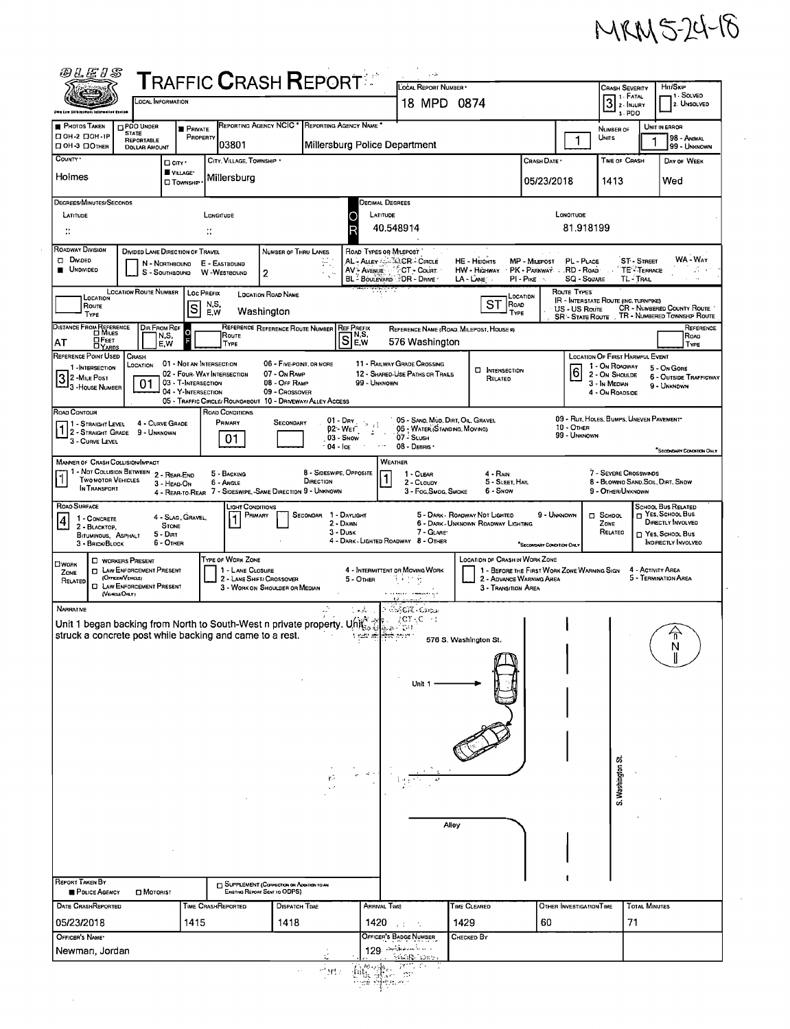

 $\epsilon$ 

 $\sim$ 

 $\bar{\beta}$ 

| <i>@LEIS</i>                                                                                                                                                                                                                                                                                                                                                                                                                     | $\sf{T}$ RAFFIC $\sf{C}$ RASH $\sf{REPORT}^{\mathbb{Z}^*}$                            |                                                 |                                                                            | $\epsilon$ - $\lambda$<br>LOCAL REPORT NUMBER                                                   |                                                 |                                             | <b>CRASH SEVERITY</b>                                               | HIT/SKIP                                                     |  |  |  |  |
|----------------------------------------------------------------------------------------------------------------------------------------------------------------------------------------------------------------------------------------------------------------------------------------------------------------------------------------------------------------------------------------------------------------------------------|---------------------------------------------------------------------------------------|-------------------------------------------------|----------------------------------------------------------------------------|-------------------------------------------------------------------------------------------------|-------------------------------------------------|---------------------------------------------|---------------------------------------------------------------------|--------------------------------------------------------------|--|--|--|--|
| <b>OCAL INFORMATION</b>                                                                                                                                                                                                                                                                                                                                                                                                          |                                                                                       |                                                 |                                                                            | 18 MPD 0874                                                                                     |                                                 | $31$ Fatal<br>$3 - PDO$                     | - 1 Solved<br>2. UNSOLVED                                           |                                                              |  |  |  |  |
| PHOTOS TAKEN<br><b>DPDO UNDER</b><br><b>STATE</b>                                                                                                                                                                                                                                                                                                                                                                                | <b>PRIVATE</b>                                                                        | REPORTING AGENCY NCIC * REPORTING AGENCY NAME * |                                                                            |                                                                                                 |                                                 |                                             | NUMBER OF                                                           | UNIT IN ERROR                                                |  |  |  |  |
| □ ОН-2 □ ОН-1Р<br>REPORTABLE<br>□ ОН-3 □ Отнея<br><b>DOLLAR AMOUNT</b>                                                                                                                                                                                                                                                                                                                                                           | PROPERTY<br>03801                                                                     |                                                 | Millersburg Police Department                                              |                                                                                                 |                                                 | 1                                           | UNITS                                                               | 98 - Animal<br>99 - UNKNOWN                                  |  |  |  |  |
| COUNTY '<br>D CITY'                                                                                                                                                                                                                                                                                                                                                                                                              | CITY, VILLAGE, TOWNSHIP<br>VILLAGE*                                                   |                                                 | CRASH DATE .                                                               | <b>TIME OF CRASH</b>                                                                            | DAY OF WEEK                                     |                                             |                                                                     |                                                              |  |  |  |  |
| Holmes                                                                                                                                                                                                                                                                                                                                                                                                                           | Millersburg<br><b>CI</b> TOWNSHIP                                                     |                                                 |                                                                            |                                                                                                 |                                                 | 05/23/2018                                  | 1413                                                                | Wed                                                          |  |  |  |  |
| DEGREES/MINUTES/SECONDS<br>DECIMAL DEGREES<br>LATITUDE<br>LONOITUDE<br>LATITUDE<br>LONGITUDE<br>O                                                                                                                                                                                                                                                                                                                                |                                                                                       |                                                 |                                                                            |                                                                                                 |                                                 |                                             |                                                                     |                                                              |  |  |  |  |
| $\mathbb{Z}^*$                                                                                                                                                                                                                                                                                                                                                                                                                   | $\ddot{\phantom{a}}$                                                                  |                                                 | 81.918199<br>40.548914                                                     |                                                                                                 |                                                 |                                             |                                                                     |                                                              |  |  |  |  |
| ROADWAY DIVISION<br><b>DIVIDED LANE DIRECTION OF TRAVEL</b><br>NUMBER OF THRU LANES<br>ROAD TYPES OR MILEPOST<br>WA - WAY                                                                                                                                                                                                                                                                                                        |                                                                                       |                                                 |                                                                            |                                                                                                 |                                                 |                                             |                                                                     |                                                              |  |  |  |  |
| Divideo<br>AL - Auey - SQ CR - Cincui<br>AV - Aveyue - CCT - Count<br><b>HE-HEIOHTS</b><br>ST-STREET<br><b>MP</b> - MILEPOST<br>PL - PLACE<br>N - NORTHBOUND<br>E - EASTBOUND<br><b>UNDIVIDED</b><br>· PK - PARKWAY . RD - ROAD<br>TE - TERRACE<br>A.<br>HW - HIGHWAY<br>W-WESTBOUND<br>S - SOUTHBOUND<br>2<br>BL BOULEVARD DR - DRIVE<br>$LA$ - $L$ <sub>ANE</sub><br>PI - PIKE<br>SQ - SQUARE<br>TL-TRAIL<br>$\sim$            |                                                                                       |                                                 |                                                                            |                                                                                                 |                                                 |                                             |                                                                     |                                                              |  |  |  |  |
| <b>LOCATION ROUTE NUMBER</b><br>LOCATION<br>ROUTE<br>TYPE                                                                                                                                                                                                                                                                                                                                                                        | <b>Loc PREFIX</b><br><b>LOCATION ROAD NAME</b><br>N,S,<br>S<br>Washington<br>E,W      |                                                 |                                                                            |                                                                                                 | LOCATION<br>ST<br>Road<br>TYPE                  | ROUTE TYPES<br>US - US Route                | <b>IR - INTERSTATE ROUTE (INC. TURNPIKE)</b>                        | <b>CR - NUMBERED COUNTY ROUTE</b>                            |  |  |  |  |
| DISTANCE FROM REFERENCE<br>DIR FROM REF                                                                                                                                                                                                                                                                                                                                                                                          | o                                                                                     | REFERENCE REFERENCE ROUTE NUMBER                | <b>REF PREFIX</b>                                                          | REFERENCE NAME (ROAD, MILEPOST, HOUSE #)                                                        |                                                 | <b>SR - STATE ROUTE</b>                     |                                                                     | TR - NUMBERED TOWNSHIP ROUTE<br>REFERENCE                    |  |  |  |  |
| N.S.<br>⊔Гεεт<br>AΤ<br>E,W<br><b>DYARDS</b>                                                                                                                                                                                                                                                                                                                                                                                      | Route<br>TYPE                                                                         |                                                 | N,S,<br>SEw                                                                | 576 Washington                                                                                  |                                                 |                                             |                                                                     | ROAD<br>Type                                                 |  |  |  |  |
| REFERENCE POINT USED<br>Crash<br>LOCATION<br>1 - INTERSECTION                                                                                                                                                                                                                                                                                                                                                                    | 01 - NOT AN INTERSECTION<br>02 - FOUR-WAY INTERSECTION                                | 06 - FIVE-POINT, OR MORE<br>07 - On RAMP        |                                                                            | 11 - RAILWAY GRADE CROSSING<br>12 - SHARED-USE PATHS OR TRAILS                                  | <b>CI INTERSECTION</b>                          | 6                                           | LOCATION OF FIRST HARMFUL EVENT<br>1 - On ROADWAY<br>2 - On Shoulde | 5 - On GORE                                                  |  |  |  |  |
| 3 2 - Mile Post<br>01<br><sup>1</sup> 3 - House Number                                                                                                                                                                                                                                                                                                                                                                           | 03 - T-INTERSECTION<br>04 - Y-INTERSECTION                                            | 08 - OFF RAMP<br>09 - Crossover                 | 99 - UNKNOWN                                                               |                                                                                                 | RELATED                                         |                                             | 3 - In Median<br>4 - On ROADSIDE                                    | <b>6 - OUTSIDE TRAFFICWAY</b><br>9 - UNKNOWN                 |  |  |  |  |
| ROAD CONTOUR                                                                                                                                                                                                                                                                                                                                                                                                                     | 05 - TRAFFIC CIRCLE/ ROUNDABOUT 10 - DRIVEWAY/ ALLEY ACCESS<br><b>ROAD CONDITIONS</b> |                                                 |                                                                            |                                                                                                 |                                                 |                                             |                                                                     |                                                              |  |  |  |  |
| 4 - CURVE GRADE<br>1 - STRAIGHT LEVEL<br>1 - STRAIGHT LEVEL<br>9 - Unknown<br>3 - CURVE LEVEL                                                                                                                                                                                                                                                                                                                                    | PRIMARY<br>01                                                                         | SECONDARY<br>03 - Snow<br>$-04 -$ Ice           | $01 - \text{Drv}$<br>$\gamma_{\rm g}$<br>$\cdot$ :<br>02 - Wer<br>$\Delta$ | 05 - SAND, MUD, DIRT, OIL, GRAVEL<br>06 - WATER (STANDING, MOVING)<br>07 - SLUSH<br>08 - DEBRIS |                                                 | 10 - OTHER<br>99 - UNKNOWN                  | 09 - RUT, HOLES, BUMPS, UNEVEN PAVEMENT*                            |                                                              |  |  |  |  |
| <b>MANNER OF CRASH COLLISION/IMPACT</b>                                                                                                                                                                                                                                                                                                                                                                                          |                                                                                       |                                                 | WEATHER                                                                    |                                                                                                 |                                                 |                                             |                                                                     | "SECONDARY CONDITION ONLY                                    |  |  |  |  |
| 1 - Not Collision Between 2 - Rear-End<br>8 - SIDESWIPE, OPPOSITE<br>7 - SEVERE CROSSWINDS<br>5 - BACKING<br>1 - CLEAR<br>4 - RAIN<br>$\mathbf{1}$<br>TWO MOTOR VEHICLES<br>DIRECTION<br>5 - SLEET, HAIL<br>8 - BLOWING SAND, SOIL, DIRT, SNDW<br>2 - CLOUDY<br>3 - HEAD-ON<br>6 - Angle<br>IN TRANSPORT<br>4 - REAR-TO-REAR 7 - SIDESWIPE, -SAME DIRECTION 9 - UNKNOWN<br>3 - Fog, Smog, Smoke<br>6 - Snow<br>9 - OTHER/UNKNOWN |                                                                                       |                                                 |                                                                            |                                                                                                 |                                                 |                                             |                                                                     |                                                              |  |  |  |  |
| ROAD SURFACE<br>1 - CONCRETE<br>$\vert 4 \vert$                                                                                                                                                                                                                                                                                                                                                                                  | Light Conditions<br>PRIMARY<br>4 - Slag, Gravel.                                      | SECONDAR 1 - DAYLIGHT                           | 2 - DAWN                                                                   | 5 - DARK - ROADWAY NOT LIGHTED                                                                  | 6 - DARK - UNKNOWN ROADWAY LIGHTING             | 9 - UNKNOWN                                 | <b>Q</b> School<br>ZONE                                             | SCHOOL BUS RELATED<br>T YES, SCHOOL BUS<br>DIRECTLY INVOLVED |  |  |  |  |
| <b>STONE</b><br>2 - BLACKTOP.<br>5 - Dirt<br>BITUMINOUS, ASPHALT<br>6 - OTHER<br>3 - BRICK/BLOCK                                                                                                                                                                                                                                                                                                                                 |                                                                                       | $3 - D$ usk                                     | 4 - DARK - LIGHTED ROADWAY 8 - OTHER                                       | 7 - GLARE                                                                                       |                                                 | "SECONDARY CONDITION ONLY                   | RELATEO                                                             | T YES, SCHOOL BUS<br><b>INDIRECTLY INVOLVEO</b>              |  |  |  |  |
| <b>C WORKERS PRESENT</b><br><b>LIWORK</b>                                                                                                                                                                                                                                                                                                                                                                                        | TYPE OF WORK ZONE                                                                     |                                                 |                                                                            |                                                                                                 | LOCATION OF CRASH IN WORK ZONE                  |                                             |                                                                     |                                                              |  |  |  |  |
| <b>D</b> LAW ENFORCEMENT PRESENT<br>ZONE<br>(OFFICER/VEHICLE)<br>RELATED<br><b>D</b> LAW ENFORCEMENT PRESENT<br>(VENCLEONLY)                                                                                                                                                                                                                                                                                                     | 1 - LANE CLOSURE<br>2 - LANE SHIFT/ CROSSOVER<br>3 - WORK ON SHOULDER OR MEDIAN       |                                                 | 4 - INTERMITTENT OR MOVING WORK<br>5 - Other                               | 3년 11월<br>n verkeer ( <del>con</del> ieren)                                                     | 2 - ADVANCE WARNING AREA<br>3 - TRANSITION AREA | 1 - BEFORE THE FIRST WORK ZONE WARNING SIGN |                                                                     | 4 - ACTIVITY AREA<br>5 - TERMINATION AREA                    |  |  |  |  |
| NARRATIVE                                                                                                                                                                                                                                                                                                                                                                                                                        |                                                                                       |                                                 | i vila                                                                     | <b>SINGR GROU</b>                                                                               |                                                 |                                             |                                                                     |                                                              |  |  |  |  |
| Unit 1 began backing from North to South-West n private property. Unit<br>struck a concrete post while backing and came to a rest.                                                                                                                                                                                                                                                                                               |                                                                                       |                                                 | 花の三日は<br>1 ರಂದು ಹೌ                                                         | /CT-C ∴r                                                                                        |                                                 |                                             |                                                                     | π                                                            |  |  |  |  |
|                                                                                                                                                                                                                                                                                                                                                                                                                                  |                                                                                       |                                                 |                                                                            | 576 S. Washington St.                                                                           |                                                 |                                             |                                                                     |                                                              |  |  |  |  |
|                                                                                                                                                                                                                                                                                                                                                                                                                                  |                                                                                       |                                                 |                                                                            |                                                                                                 |                                                 |                                             |                                                                     |                                                              |  |  |  |  |
|                                                                                                                                                                                                                                                                                                                                                                                                                                  |                                                                                       |                                                 |                                                                            | Unit 1                                                                                          |                                                 |                                             |                                                                     |                                                              |  |  |  |  |
|                                                                                                                                                                                                                                                                                                                                                                                                                                  |                                                                                       |                                                 |                                                                            |                                                                                                 |                                                 |                                             |                                                                     |                                                              |  |  |  |  |
|                                                                                                                                                                                                                                                                                                                                                                                                                                  |                                                                                       |                                                 |                                                                            |                                                                                                 |                                                 |                                             |                                                                     |                                                              |  |  |  |  |
|                                                                                                                                                                                                                                                                                                                                                                                                                                  |                                                                                       |                                                 |                                                                            |                                                                                                 |                                                 |                                             |                                                                     |                                                              |  |  |  |  |
|                                                                                                                                                                                                                                                                                                                                                                                                                                  |                                                                                       | Υř                                              |                                                                            |                                                                                                 |                                                 |                                             | S. Washington St                                                    |                                                              |  |  |  |  |
|                                                                                                                                                                                                                                                                                                                                                                                                                                  |                                                                                       |                                                 |                                                                            |                                                                                                 |                                                 |                                             |                                                                     |                                                              |  |  |  |  |
|                                                                                                                                                                                                                                                                                                                                                                                                                                  |                                                                                       |                                                 |                                                                            |                                                                                                 |                                                 |                                             |                                                                     |                                                              |  |  |  |  |
|                                                                                                                                                                                                                                                                                                                                                                                                                                  |                                                                                       |                                                 |                                                                            | Alley                                                                                           |                                                 |                                             |                                                                     |                                                              |  |  |  |  |
|                                                                                                                                                                                                                                                                                                                                                                                                                                  |                                                                                       |                                                 |                                                                            |                                                                                                 |                                                 |                                             |                                                                     |                                                              |  |  |  |  |
| REPORT TAKEN BY<br>SUPPLEMENT (CORRECTION ON ADDITION TO AN<br>Existing Report Sent to ODPS)                                                                                                                                                                                                                                                                                                                                     |                                                                                       |                                                 |                                                                            |                                                                                                 |                                                 |                                             |                                                                     |                                                              |  |  |  |  |
| POLICE AGENCY<br><b>D</b> MOTORIST<br><b>DATE CRASHREPORTED</b>                                                                                                                                                                                                                                                                                                                                                                  | TIME CRASHREPORTED                                                                    | <b>DISPATCH TIME</b>                            | <b>ARRIVAL TIME</b>                                                        |                                                                                                 | TIME CLEARED                                    | OTHER INVESTIGATION TIME                    | TOTAL MINUTES                                                       |                                                              |  |  |  |  |
| 05/23/2018                                                                                                                                                                                                                                                                                                                                                                                                                       | 1415                                                                                  | 1418                                            | 1420                                                                       | 1429<br>$\sim 10$                                                                               |                                                 | 60                                          | 71                                                                  |                                                              |  |  |  |  |
| OFFICER'S NAME*<br>Newman, Jordan                                                                                                                                                                                                                                                                                                                                                                                                |                                                                                       |                                                 | 129. <del>Articles A</del>                                                 | OFFICER'S BADGE NUMBER                                                                          | CHECKED BY                                      |                                             |                                                                     |                                                              |  |  |  |  |
|                                                                                                                                                                                                                                                                                                                                                                                                                                  |                                                                                       | $\gamma^{\mu}$ yr .                             | ورعاها                                                                     |                                                                                                 |                                                 |                                             |                                                                     |                                                              |  |  |  |  |

 $\hat{\boldsymbol{\beta}}$ 

 $\bar{z}$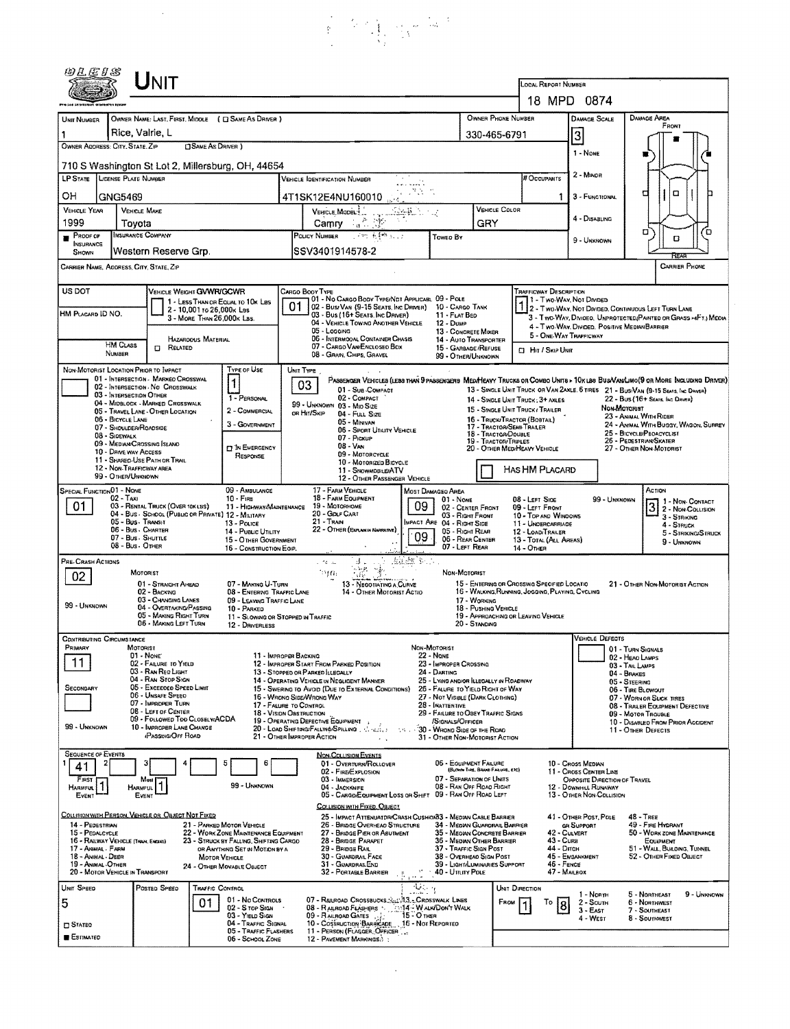$\frac{1}{2} \frac{1}{2} \left( \frac{1}{2} \right)$ 

| 00.EIS                                                                                                                                                                                                                                                                                                                                                                                                                                                                                                                                                                                                                                                                                                                                |                                                                                                                                                                                                                                                                                                                                                                                                                               | INIT                                                                                                                                                                       |                                                                                                                                                                                             |                                                                                                                                                                                                                 | LOCAL REPORT NUMBER<br>18 MPD 0874                                                                                                                                                                                                                                                                                                                                                                                                                                                                    |                                                                                                                                                                                                                                                                                                                                       |                                                                                                                                                                                                                                                                               |                                                                                                                                                                                                                                                                                                                                                                                                                                                                                                                                                                                                                                                                  |                                                                                                                                                                                                                                                                                 |                                                                                                                  |  |  |
|---------------------------------------------------------------------------------------------------------------------------------------------------------------------------------------------------------------------------------------------------------------------------------------------------------------------------------------------------------------------------------------------------------------------------------------------------------------------------------------------------------------------------------------------------------------------------------------------------------------------------------------------------------------------------------------------------------------------------------------|-------------------------------------------------------------------------------------------------------------------------------------------------------------------------------------------------------------------------------------------------------------------------------------------------------------------------------------------------------------------------------------------------------------------------------|----------------------------------------------------------------------------------------------------------------------------------------------------------------------------|---------------------------------------------------------------------------------------------------------------------------------------------------------------------------------------------|-----------------------------------------------------------------------------------------------------------------------------------------------------------------------------------------------------------------|-------------------------------------------------------------------------------------------------------------------------------------------------------------------------------------------------------------------------------------------------------------------------------------------------------------------------------------------------------------------------------------------------------------------------------------------------------------------------------------------------------|---------------------------------------------------------------------------------------------------------------------------------------------------------------------------------------------------------------------------------------------------------------------------------------------------------------------------------------|-------------------------------------------------------------------------------------------------------------------------------------------------------------------------------------------------------------------------------------------------------------------------------|------------------------------------------------------------------------------------------------------------------------------------------------------------------------------------------------------------------------------------------------------------------------------------------------------------------------------------------------------------------------------------------------------------------------------------------------------------------------------------------------------------------------------------------------------------------------------------------------------------------------------------------------------------------|---------------------------------------------------------------------------------------------------------------------------------------------------------------------------------------------------------------------------------------------------------------------------------|------------------------------------------------------------------------------------------------------------------|--|--|
| UNIT NUMBER<br>OWNER ADDRESS: CITY, STATE, ZIP                                                                                                                                                                                                                                                                                                                                                                                                                                                                                                                                                                                                                                                                                        | Rice, Valrie, L                                                                                                                                                                                                                                                                                                                                                                                                               | <b>CISAME AS DRIVER</b> )                                                                                                                                                  | OWNER NAME: LAST, FIRST, MIDDLE ( E SAME AS DRIVER )                                                                                                                                        |                                                                                                                                                                                                                 | OWNER PHONE NUMBER<br>330-465-6791                                                                                                                                                                                                                                                                                                                                                                                                                                                                    |                                                                                                                                                                                                                                                                                                                                       | DAMAGE AREA<br><b>DAMAGE SCALE</b><br>FRONT                                                                                                                                                                                                                                   |                                                                                                                                                                                                                                                                                                                                                                                                                                                                                                                                                                                                                                                                  |                                                                                                                                                                                                                                                                                 |                                                                                                                  |  |  |
| 710 S Washington St Lot 2, Millersburg, OH, 44654<br>LP STATE LICENSE PLATE NUMBER<br># Occupants<br><b>VEHICLE IOENTIFICATION NUMBER</b><br>.<br>OН<br>GNG5469<br>4T1SK12E4NU160010                                                                                                                                                                                                                                                                                                                                                                                                                                                                                                                                                  |                                                                                                                                                                                                                                                                                                                                                                                                                               |                                                                                                                                                                            |                                                                                                                                                                                             |                                                                                                                                                                                                                 |                                                                                                                                                                                                                                                                                                                                                                                                                                                                                                       |                                                                                                                                                                                                                                                                                                                                       |                                                                                                                                                                                                                                                                               |                                                                                                                                                                                                                                                                                                                                                                                                                                                                                                                                                                                                                                                                  |                                                                                                                                                                                                                                                                                 | o<br>◘<br>3 - FUNCTIONAL                                                                                         |  |  |
| <b>VEHICLE YEAR</b><br>1999<br><b>PROOF OF</b>                                                                                                                                                                                                                                                                                                                                                                                                                                                                                                                                                                                                                                                                                        | <b>VEHICLE MAKE</b><br>Toyota<br>INSURANCE COMPANY                                                                                                                                                                                                                                                                                                                                                                            |                                                                                                                                                                            |                                                                                                                                                                                             | VEHICLE MODEL<br>Camry A.C. St<br>小地 有轴 纵计<br>POLICY NUMBER<br>Toweo By                                                                                                                                         |                                                                                                                                                                                                                                                                                                                                                                                                                                                                                                       |                                                                                                                                                                                                                                                                                                                                       | <b>VEHICLE COLOR</b><br>GRY                                                                                                                                                                                                                                                   |                                                                                                                                                                                                                                                                                                                                                                                                                                                                                                                                                                                                                                                                  | 4 - DISABLING<br>9 - Unknown                                                                                                                                                                                                                                                    | α<br>Έ<br>D                                                                                                      |  |  |
| <b>NSURANCE</b><br>SHOWN                                                                                                                                                                                                                                                                                                                                                                                                                                                                                                                                                                                                                                                                                                              | Western Reserve Grp.<br>CARRIER NAME, ADDRESS, CITY, STATE, ZIP                                                                                                                                                                                                                                                                                                                                                               |                                                                                                                                                                            |                                                                                                                                                                                             | SSV3401914578-2                                                                                                                                                                                                 |                                                                                                                                                                                                                                                                                                                                                                                                                                                                                                       |                                                                                                                                                                                                                                                                                                                                       |                                                                                                                                                                                                                                                                               |                                                                                                                                                                                                                                                                                                                                                                                                                                                                                                                                                                                                                                                                  |                                                                                                                                                                                                                                                                                 | <b>CARRIER PHONE</b>                                                                                             |  |  |
| US DOT<br>HM PLACARD ID NO.                                                                                                                                                                                                                                                                                                                                                                                                                                                                                                                                                                                                                                                                                                           | <b>HIM CLASS</b><br>NUMBER                                                                                                                                                                                                                                                                                                                                                                                                    | VEHICLE WEIGHT GVWR/GCWR<br>1 - LESS THAN OR EQUAL TO 10K LES<br>2 - 10,001 to 26,000s Las<br>3 - MORE THAN 26,000K LBS.<br><b>MAZAROOUS MATERIAL</b><br><b>CI RELATED</b> |                                                                                                                                                                                             | CARGO BOOY TYPE<br>01<br>03 - Bus (16+ Sears, Inc DRIVER)<br>04 - VEHICLE TOWING ANOTHER VEHICLE<br>05 - Logging<br>06 - INTERMOOAL CONTAINER CHASIS<br>07 - CARGO VAN/ENCLOSED BOX<br>08 - GRAN, CHIPS, GRAVEL | 01 - No CARGO BODY TYPE/NDT APPLICABL 09 - POLE<br>02 - Busi Van (9-15 Seats, Inc Driver) 10 - Cargo Tank<br>11 - FLAT BED<br>12 - Dump<br>13 - CONCRETE MIXER<br>14 - AUTO TRANSPORTER<br>15 - GARBAGE /REFUSE                                                                                                                                                                                                                                                                                       |                                                                                                                                                                                                                                                                                                                                       | TRAFFICWAY DESCRIPTION<br>1 - Two-Way, Not Divinen<br>2 - Two WAY, NOT DIVIDED, CONTINUOUS LEFT TURN LANE<br>3 - Two Way, Divideo, Unprotected: Painted or Grass >4FTJ Media<br>4 - Two-WAY, DIVIDED, POSITIVE MEDIAN BARRIER<br>5 - ONE WAY TRAFFICWAY<br>CI HIT / SKIP UNIT |                                                                                                                                                                                                                                                                                                                                                                                                                                                                                                                                                                                                                                                                  |                                                                                                                                                                                                                                                                                 |                                                                                                                  |  |  |
|                                                                                                                                                                                                                                                                                                                                                                                                                                                                                                                                                                                                                                                                                                                                       | NON-MOTORIST LOCATION PRIOR TO IMPACT<br>01 - INTERSECTION - MARKEO CROSSWAL<br>02 - INTERSECTION NO CROSSWALK<br>03 - INTERSECTION OTHER<br>04 - MIDBLOCK - MARKED CROSSWALK<br>05 - TRAVEL LANE - OTHER LOCATION<br>06 - BICYCLE LANE<br>07 - SHOULDER/ROADSIDE<br>08 - SIDEWALK<br>09 - MEDIAN CROSSING ISLAND<br>10 - DRIVE WAY ACCESS<br>11 - SHARED-USE PATH OR TRAIL<br>12 - NON-TRAFFICWAY AREA<br>99 - OTHER/UNKNOWN |                                                                                                                                                                            | Type of Use<br>1<br>1 - PERSONAL<br>2 - COMMERCIAL<br>3 - GOVERNMENT<br><b>D</b> IN EMERGENCY<br>RESPONSE                                                                                   | UNIT TYPE<br>03<br>99 - UNKNOWN 03 - MIO SIZE<br>OR HIT/SKIP                                                                                                                                                    | 01 - Sus COMPACT<br>02 - COMPACT<br>04 - FULL SIZE<br>05 - MINIVAN<br>06 - SPORT UTILITY VEHICLE<br>07 - Pickup<br>$08 - VAN$<br>09 - MOTORCYCLE<br>10 - Motorized Bicycle<br>11 - SNOWMOBILE/ATV<br>12 - OTHER PASSENGER VEHICLE                                                                                                                                                                                                                                                                     |                                                                                                                                                                                                                                                                                                                                       | 99 - OTHER/UNKNOWN                                                                                                                                                                                                                                                            | PASSENGER VEHICLES (LESS THAN 9 PASSENGERS MEDIHEAVY TRUCKS OR COMBO UNITS > 10K LBS BUS/VANLIMO(9 OR MORE INCLUDING DRIVER)<br>13 - SINGLE UNIT TRUCK OR VAN ZAXLE, 6 TIRES 21 - BUS/VAN (9-15 SEATS, INC DANSA)<br>22 - BUS (16+ SEATS, INC DRIVER)<br>14 - SINGLE LINIT TRUCK: 3+ AXLES<br>Non-Mororest<br>15 - SINGLE UNIT TRUCK / TRAILER<br>23 - ANIMAL WITH RIDER<br>16 - TRUCK/TRACTOR (BOBTAIL)<br>24 - ANIMAL WITH BUGGY, WAGON, SURREY<br>17 - TRACTOR/SEMI-TRAILER<br>25 - BICYCLE/PEOACYCLIST<br>18 - TRACTOR/DOUBLE<br>26 - PEDESTRIAN/SKATER<br>19 - TRACTOR/TRIPLES<br>20 - OTHER MEDIHEAVY VEHICLE<br>27 - OTHER NON-MOTORIST<br>HAS HM PLACARD |                                                                                                                                                                                                                                                                                 |                                                                                                                  |  |  |
| SPECIAL FUNCTION 01 - NONE<br>01                                                                                                                                                                                                                                                                                                                                                                                                                                                                                                                                                                                                                                                                                                      | $02 - T_Ax_1$<br>03 - RENTAL TRUCK (OVER 10K LBS)<br>05 - Bus - Transit<br>06 - Bus - Charter<br>07 - Bus - SHUTTLE<br>08 - Bus - OTHER                                                                                                                                                                                                                                                                                       | 04 - Bus - School (Public or Private) 12 - Military                                                                                                                        | 09 - AMBULANCE<br>$10 -$ FiRE<br>11 - HIGHWAY/MAINTENANCE<br>13 - Pouce<br>14 - Pusuc UTILITY<br>15 - OTHER GOVERNMENT<br>16 - CONSTRUCTION EQP.                                            | 17 - FARM VEHICLE<br>18 - FARM EQUIPMENT<br>19 - Мотокноме<br>20 - GDLF CART<br>21 - Train                                                                                                                      | 22 - OTHER (EXPLAN IN NAVSKATIVE)                                                                                                                                                                                                                                                                                                                                                                                                                                                                     | MOST DAMAGED AREA<br>$01 - None$<br>09<br>IMPACT ARE 04 - RIGHT SIDE<br>09                                                                                                                                                                                                                                                            | 02 - CENTER FRONT<br>03 - Right Front<br>05 - RIGHT REAR<br>06 - REAR CENTER<br>07 - LEFT REAR                                                                                                                                                                                | 08 - LEFT SIDE<br>09 - LEFT FRONT<br>10 - TOP AND WINDOWS<br>11 - UNDERCARRIAGE<br>12 - LOADITRAILER<br>13 - TOTAL (ALL AREAS)<br>14 - Отнен                                                                                                                                                                                                                                                                                                                                                                                                                                                                                                                     |                                                                                                                                                                                                                                                                                 | ACTION<br>99 - UNKNOWN<br>$31$ - Non-Contact<br>3 - STRIKING<br>4 - Struck<br>5 - STRIKING STRUCK<br>9 - UNKNOWN |  |  |
| alah Bu<br>PRE-CRASH ACTIONS<br>Life av<br>ar t<br>ាមបា<br>Non-Motorist<br>MOTORIST<br>02<br>07 - MAKING U-TURN<br>15 - ENTERING OR CROSSING SPECIFIED LOCATIO<br>01 - STRAIGHT AHEAD<br>13 - Negotiating a Curve<br>16 - WALKING, RUNNING, JOGGING, PLAYING, CYCLING<br>02 - BACKWG<br>08 - ENTERWG TRAFFIC LANE<br>14 - OTHER MOTORIST ACTIO<br>03 - CHANGING LANES<br>17 - WORKING<br>09 - LEAVING TRAFFIC LANE<br>99 - UNKNOWN<br>04 - OVERTAKING/PASSING<br>18 - PUSHING VEHICLE<br>10 - PARKED<br>05 - MAKING RIGHT TURN<br>19 - APPROACHING OR LEAVING VEHICLE<br>11 - SLOWING OR STOPPED IN TRAFFIC<br>06 - MAKING LEFT TURN<br>20 - STANDING<br>12 - DRIVERLESS                                                              |                                                                                                                                                                                                                                                                                                                                                                                                                               |                                                                                                                                                                            |                                                                                                                                                                                             |                                                                                                                                                                                                                 |                                                                                                                                                                                                                                                                                                                                                                                                                                                                                                       |                                                                                                                                                                                                                                                                                                                                       |                                                                                                                                                                                                                                                                               |                                                                                                                                                                                                                                                                                                                                                                                                                                                                                                                                                                                                                                                                  | 21 - OTHER NON-MOTORIST ACTION                                                                                                                                                                                                                                                  |                                                                                                                  |  |  |
| <b>CONTRIBUTING CIRCUMSTANCE</b><br>PRIMARY<br>MOTORIST<br>01 - NONE<br>11 - Improper Backing<br>11<br>02 - FAILURE TO YIELD<br>12 - IMPROPER START FROM PARKED POSITION<br>03 - RAN RED LIGHT<br>13 - STOPPED OR PARKED LLEGALLY<br>04 - RAN STOP SIGN<br>14 - OPERATING VEHICLE IN NEGLIGENT MANNER<br>05 - Excessoo Speed Limit<br>SECONDARY<br>06 - Unsafe Speed<br>16 - WRONG SIDE/WRONG WAY<br>07 - IMPROPER TURN<br>17 - FALURE TO CONTROL<br>08 - LEFT OF CENTER<br>18 - VISION OBSTRUCTION<br>09 - FOLLOWED TOO CLOSELV/ACDA<br>19 - OPERATING DEFECTIVE EQUIPMENT<br>99 - Unknown<br>10 - IMPROPER LANE CHANGE<br>20 - LOAD SHIFTING/FALLING/SPILLING (1999) 1200<br><b>iPASSING/OFF ROAD</b><br>21 - OTHER IMPROPER ACTION |                                                                                                                                                                                                                                                                                                                                                                                                                               |                                                                                                                                                                            |                                                                                                                                                                                             |                                                                                                                                                                                                                 | 15 - Swering to Avoid (Due to External Conditions)<br>the c<br>$\ddot{\phantom{a}}$                                                                                                                                                                                                                                                                                                                                                                                                                   | NON-MOTORIST<br>22 - Нане<br>23 - Improper Crossing<br>24 - Darting<br>25 - Lynng and/or Illegally in Roadway<br>26 - FALURE TO YIELD RIGHT OF WAY<br>27 - Not Visible (Dark Clothing)<br>28 - INATTENTIVE<br>29 - FAILURE TO OBEY TRAFFIC SIGNS<br>/SIGNALS/OFFICER<br>30 - WRONG SIDE OF THE ROAD<br>31 - OTHER NON-MOTORIST ACTION |                                                                                                                                                                                                                                                                               |                                                                                                                                                                                                                                                                                                                                                                                                                                                                                                                                                                                                                                                                  | VEHICLE DEFECTS<br>01 - TURN SIGNALS<br>02 - HEAO LAMPS<br>03 - TAIL LAMPS<br>04 - BRAKES<br>05 - STEERING<br>06 - TIRE BLOWOUT<br>07 - WORN OR SLICK TIRES<br>08 - TRALER EQUIPMENT DEFECTIVE<br>09 - MOTOR TROUBLE<br>10 - Disabled From Prior Accident<br>11 - OTHER DEFECTS |                                                                                                                  |  |  |
| <b>SEQUENCE OF EVENTS</b><br>4<br>FIRST<br>Harmful.<br>EVENT                                                                                                                                                                                                                                                                                                                                                                                                                                                                                                                                                                                                                                                                          | Most<br><b>HARMFUL</b><br>EVENT                                                                                                                                                                                                                                                                                                                                                                                               |                                                                                                                                                                            | 5<br>6<br>99 - Unknown                                                                                                                                                                      | 03 - IMMERSION<br>04 - JACKKNIFE                                                                                                                                                                                | <b>NON-COLLISION EVENTS</b><br>01 - Overturn/Rollover<br>02 - FIRE EXPLOSION<br>05 - CARGO/EQUIPMENT LOSS OR SHIFT 09 - RAN OFF ROAD LEFT                                                                                                                                                                                                                                                                                                                                                             |                                                                                                                                                                                                                                                                                                                                       | 06 - EQUIPMENT FAILURE<br>(BLOWN TIRE, BRANE FAILURE, ETC)<br>07 - SEPARATION OF UNITS<br>08 - RAN OFF ROAD RIGHT                                                                                                                                                             |                                                                                                                                                                                                                                                                                                                                                                                                                                                                                                                                                                                                                                                                  | 10 - Cross Median<br>11 - Cross Center Line<br>OPPOSITE DIRECTION OF TRAVEL<br>12 - DOWNHILL RUNAWAY<br>13 - OTHER NON-COLLISION                                                                                                                                                |                                                                                                                  |  |  |
| 14 - PEDESTRIAN<br>15 - PEOALCYCLE<br>17 - ANIMAL - FARM<br>18 - ANMAL - DEER<br>19 - ANMAL-OTHER                                                                                                                                                                                                                                                                                                                                                                                                                                                                                                                                                                                                                                     | 16 - RAILWAY VEHICLE (TRAN, ENGINE)<br>20 - MOTOR VEHICLE IN TRANSPORT                                                                                                                                                                                                                                                                                                                                                        | COLLISION WITH PERSON, VEHICLE OR OBJECT NOT FIXED                                                                                                                         | 21 - PARKED MOTOR VEHICLE<br>22 - WORK ZONE MAINTENANCE EQUIPMENT<br>23 - STRUCK BY FALLING, SHIFTING CARGO<br>OR ANYTHING SET IN MOTION BY A<br>MOTOR VEHICLE<br>24 - OTHER MOVABLE OBJECT |                                                                                                                                                                                                                 | COLLISION WITH FIXED, OBJECT.<br>25 - Impact Attenuator/Crash Cushion 3 - Median Cable Barrier<br>26 - BRIDGE OVERHEAD STRUCTURE<br>34 - MEDIAN GUARDRAIL BARRIER<br>27 - BRIDGE PIER OR ABUTMENT<br>35 - MEDIAN CONCRETE BARRIER<br>28 - BRIDGE PARAPET<br>36 - MEDIAN OTHER BARRIER<br>29 - BRIDGE RAIL<br>37 - TRAFFIC SIGN POST<br>30 - GUARDRAIL FACE<br>38 - Overhead Sign Post<br>31 - GUARDRAILEND<br>39 - LIGHT/LUMINARIES SUPPORT<br>$\frac{1}{2}$ 40 - Unury Pole<br>32 - PORTABLE BARRIER |                                                                                                                                                                                                                                                                                                                                       |                                                                                                                                                                                                                                                                               |                                                                                                                                                                                                                                                                                                                                                                                                                                                                                                                                                                                                                                                                  | 41 - OTHER POST, POLE<br>48 - TREE<br>49 - FIRE HYDRANT<br>GR SUPPORT<br>42 - CULVERT<br>50 - WORK ZONE MAINTENANCE<br>43 - Cura<br>EQUIPMENT<br>44 - Опсн<br>51 - WALL, BUILDING, TUNNEL<br>45 - EMBANKMENT<br>52 - OTHER FIXED OBJECT<br>46 - FENCE<br>47 - MAILBOX           |                                                                                                                  |  |  |
| UNIT SPEED<br>5<br>$\square$ Stateg<br><b>ESTIMATED</b>                                                                                                                                                                                                                                                                                                                                                                                                                                                                                                                                                                                                                                                                               | Posted SPEED                                                                                                                                                                                                                                                                                                                                                                                                                  | TRAFFIC CONTROL<br>01                                                                                                                                                      | 01 - No Controls<br>02 - S top Sign<br>03 - YIELD SIGN<br>04 - TRAFFIC SIGNAL<br>05 - TRAFFIC FLASHERS<br>06 - SCHOOL ZONE                                                                  |                                                                                                                                                                                                                 | 07 - RAILROAD CROSSBUCKS NUMBER CROSSWALK LINES<br>08 - RALROAD FLASHERS : 1514 - WALKIDON'T WALK<br>09 - Raunoan Gares<br>10 - Costruction Barnicape 16 - Not Reported<br>11 - PERSON (FLAGGER, OFFICER<br>12 - PAVEMENT MARKINGS.                                                                                                                                                                                                                                                                   | $\frac{1}{2}$                                                                                                                                                                                                                                                                                                                         |                                                                                                                                                                                                                                                                               | Unit Direction<br>FROM<br>To<br>8                                                                                                                                                                                                                                                                                                                                                                                                                                                                                                                                                                                                                                | 1 - North<br>2 - South<br>$3 - E_A$ ST<br>4 - West                                                                                                                                                                                                                              | 5 - Northeast<br>9 - UNKNOWN<br>6 - Northwest<br>7 - SOUTHEAST<br>8 - Southwest                                  |  |  |